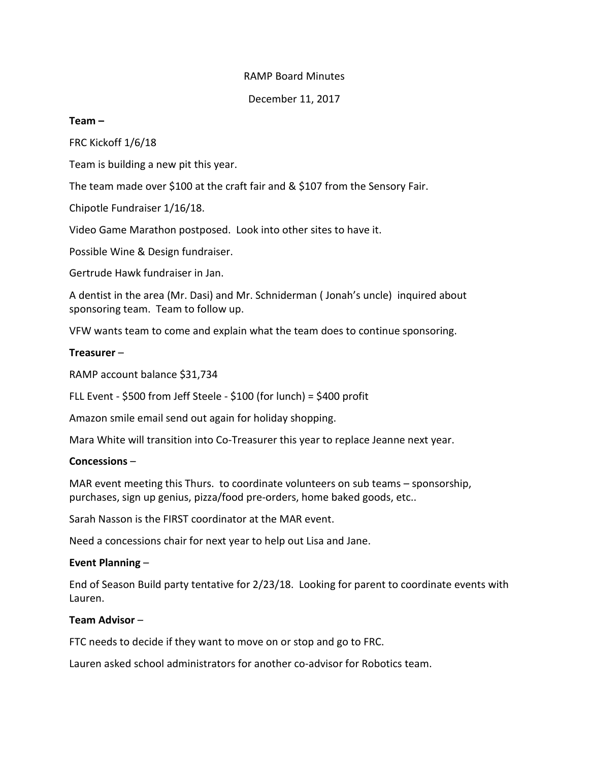# RAMP Board Minutes

December 11, 2017

### **Team –**

FRC Kickoff 1/6/18

Team is building a new pit this year.

The team made over \$100 at the craft fair and & \$107 from the Sensory Fair.

Chipotle Fundraiser 1/16/18.

Video Game Marathon postposed. Look into other sites to have it.

Possible Wine & Design fundraiser.

Gertrude Hawk fundraiser in Jan.

A dentist in the area (Mr. Dasi) and Mr. Schniderman ( Jonah's uncle) inquired about sponsoring team. Team to follow up.

VFW wants team to come and explain what the team does to continue sponsoring.

### **Treasurer** –

RAMP account balance \$31,734

FLL Event - \$500 from Jeff Steele - \$100 (for lunch) = \$400 profit

Amazon smile email send out again for holiday shopping.

Mara White will transition into Co-Treasurer this year to replace Jeanne next year.

#### **Concessions** –

MAR event meeting this Thurs. to coordinate volunteers on sub teams – sponsorship, purchases, sign up genius, pizza/food pre-orders, home baked goods, etc..

Sarah Nasson is the FIRST coordinator at the MAR event.

Need a concessions chair for next year to help out Lisa and Jane.

# **Event Planning** –

End of Season Build party tentative for 2/23/18. Looking for parent to coordinate events with Lauren.

# **Team Advisor** –

FTC needs to decide if they want to move on or stop and go to FRC.

Lauren asked school administrators for another co-advisor for Robotics team.